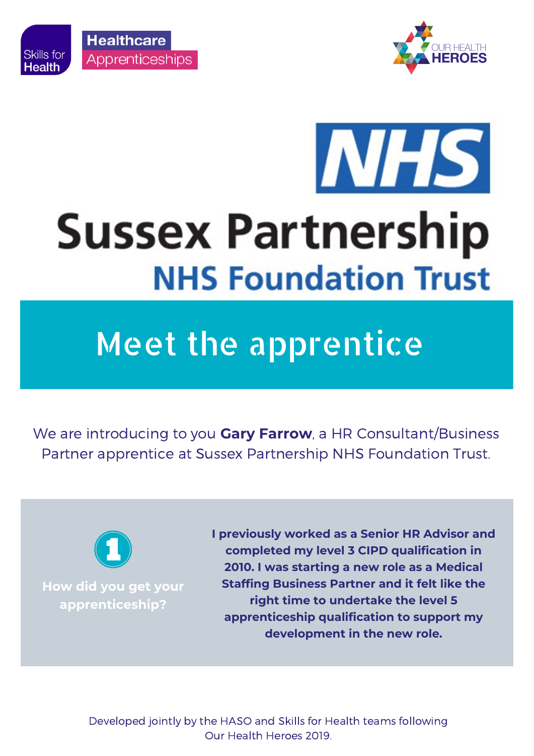

**Skills for** 

**Health** 



## **INHS Sussex Partnership NHS Foundation Trust**

## Meet the apprentice

We are introducing to you **Gary Farrow**, a HR Consultant/Business Partner apprentice at Sussex Partnership NHS Foundation Trust.



**How did you get your apprenticeship?**

**I previously worked as a Senior HR Advisor and completed my level 3 CIPD qualification in 2010. I was starting a new role as a Medical Staffing Business Partner and it felt like the right time to undertake the level 5 apprenticeship qualification to support my development in the new role.**

Developed jointly by the HASO and Skills for Health teams following Our Health Heroes 2019.